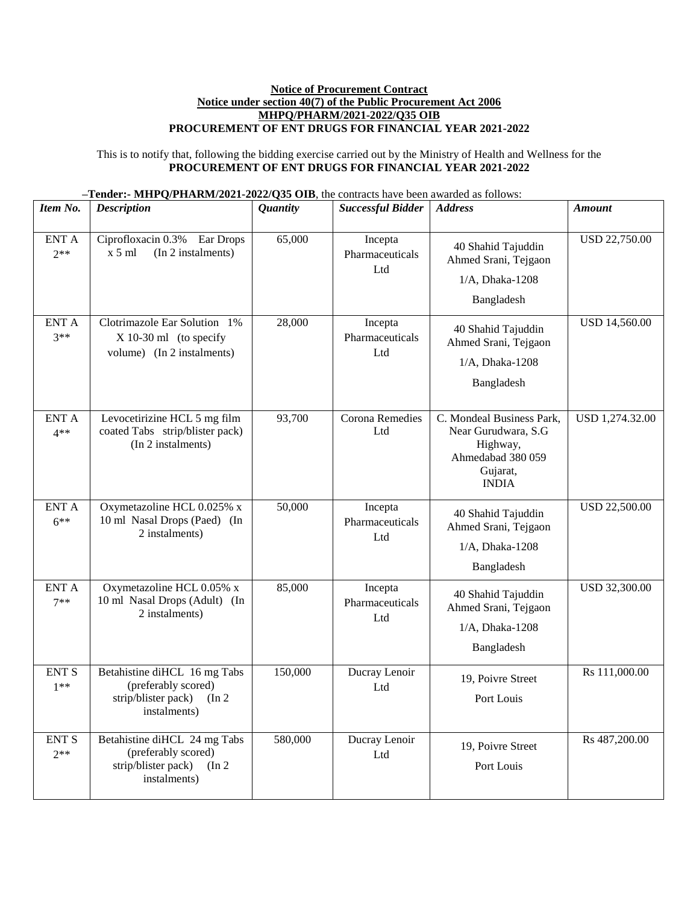## **Notice of Procurement Contract Notice under section 40(7) of the Public Procurement Act 2006 MHPQ/PHARM/2021-2022/Q35 OIB PROCUREMENT OF ENT DRUGS FOR FINANCIAL YEAR 2021-2022**

This is to notify that, following the bidding exercise carried out by the Ministry of Health and Wellness for the **PROCUREMENT OF ENT DRUGS FOR FINANCIAL YEAR 2021-2022**

| $-$ Tender:- MHPQ/PHARM/2021-2022/Q35 OIB, the contracts have been awarded as follows: |  |
|----------------------------------------------------------------------------------------|--|
|----------------------------------------------------------------------------------------|--|

| Item No.               | <b>Description</b>                                                                                   | <b>Quantity</b> | <b>Successful Bidder</b>                      | <b>Address</b>                                                                                                | <b>Amount</b>        |
|------------------------|------------------------------------------------------------------------------------------------------|-----------------|-----------------------------------------------|---------------------------------------------------------------------------------------------------------------|----------------------|
| <b>ENT A</b><br>$2**$  | Ciprofloxacin 0.3% Ear Drops<br>(In 2 instalments)<br>$x 5$ ml                                       | 65,000          | Incepta<br>Pharmaceuticals<br>Ltd             | 40 Shahid Tajuddin<br>Ahmed Srani, Tejgaon<br>$1/A$ , Dhaka-1208<br>Bangladesh                                | <b>USD 22,750.00</b> |
| <b>ENT A</b><br>$3**$  | Clotrimazole Ear Solution 1%<br>$X$ 10-30 ml (to specify<br>volume) (In 2 instalments)               | 28,000          | Incepta<br>Pharmaceuticals<br>L <sub>td</sub> | 40 Shahid Tajuddin<br>Ahmed Srani, Tejgaon<br>1/A, Dhaka-1208<br>Bangladesh                                   | <b>USD 14,560.00</b> |
| <b>ENT A</b><br>$4**$  | Levocetirizine HCL 5 mg film<br>coated Tabs strip/blister pack)<br>(In 2 instalments)                | 93,700          | Corona Remedies<br>Ltd                        | C. Mondeal Business Park,<br>Near Gurudwara, S.G<br>Highway,<br>Ahmedabad 380 059<br>Gujarat,<br><b>INDIA</b> | USD 1,274.32.00      |
| <b>ENT A</b><br>$6***$ | Oxymetazoline HCL 0.025% x<br>10 ml Nasal Drops (Paed) (In<br>2 instalments)                         | 50,000          | Incepta<br>Pharmaceuticals<br>Ltd             | 40 Shahid Tajuddin<br>Ahmed Srani, Tejgaon<br>1/A, Dhaka-1208<br>Bangladesh                                   | <b>USD 22,500.00</b> |
| <b>ENT A</b><br>$7**$  | Oxymetazoline HCL 0.05% x<br>10 ml Nasal Drops (Adult) (In<br>2 instalments)                         | 85,000          | Incepta<br>Pharmaceuticals<br>Ltd             | 40 Shahid Tajuddin<br>Ahmed Srani, Tejgaon<br>1/A, Dhaka-1208<br>Bangladesh                                   | <b>USD 32,300.00</b> |
| <b>ENT S</b><br>$1**$  | Betahistine diHCL 16 mg Tabs<br>(preferably scored)<br>strip/blister pack)<br>(In 2)<br>instalments) | 150,000         | Ducray Lenoir<br>Ltd                          | 19, Poivre Street<br>Port Louis                                                                               | Rs 111,000.00        |
| <b>ENT S</b><br>$2**$  | Betahistine diHCL 24 mg Tabs<br>(preferably scored)<br>strip/blister pack)<br>(In 2)<br>instalments) | 580,000         | Ducray Lenoir<br>Ltd                          | 19, Poivre Street<br>Port Louis                                                                               | Rs 487,200.00        |